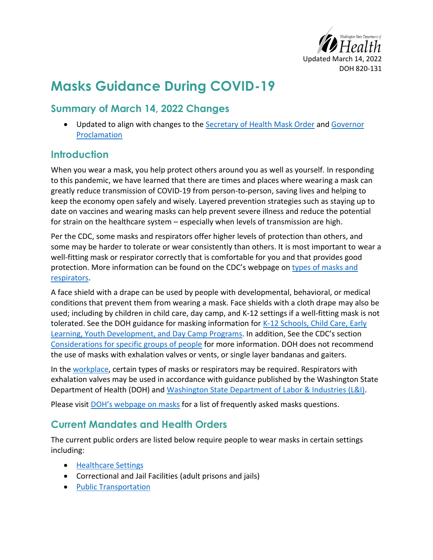

# **Masks Guidance During COVID-19**

# **Summary of March 14, 2022 Changes**

• Updated to align with changes to the [Secretary of Health Mask Order](https://www.doh.wa.gov/Portals/1/Documents/1600/coronavirus/Secretary_of_Health_Order_20-03_Statewide_Face_Coverings.pdf) and Governor [Proclamation](https://www.governor.wa.gov/sites/default/files/proclamations/20-25.19%20-%20COVID-19%20Washington%20Ready%20%28tmp%29.pdf)

## **Introduction**

When you wear a mask, you help protect others around you as well as yourself. In responding to this pandemic, we have learned that there are times and places where wearing a mask can greatly reduce transmission of COVID-19 from person-to-person, saving lives and helping to keep the economy open safely and wisely. Layered prevention strategies such as staying up to date on vaccines and wearing masks can help prevent severe illness and reduce the potential for strain on the healthcare system – especially when levels of transmission are high.

Per the CDC, some masks and respirators offer higher levels of protection than others, and some may be harder to tolerate or wear consistently than others. It is most important to [wear a](https://www.cdc.gov/coronavirus/2019-ncov/your-health/effective-masks.html)  [well-fitting mask](https://www.cdc.gov/coronavirus/2019-ncov/your-health/effective-masks.html) or respirator correctly that is comfortable for you and that provides good protection. More information can be found on the CDC's webpage on types of masks and [respirators.](https://www.cdc.gov/coronavirus/2019-ncov/prevent-getting-sick/types-of-masks.html)

A face shield with a drape can be used by people with developmental, behavioral, or medical conditions that prevent them from wearing a mask. Face shields with a cloth drape may also be used; including by children in child care, day camp, and K-12 settings if a well-fitting mask is not tolerated. See the DOH guidance for masking information for [K-12 Schools, Child Care, Early](https://doh.wa.gov/sites/default/files/2022-03/821-165-K12SchoolsChildCare.pdf)  [Learning, Youth Development, and Day Camp Programs.](https://doh.wa.gov/sites/default/files/2022-03/821-165-K12SchoolsChildCare.pdf) In addition, See the CDC's section [Considerations for specific groups of people](https://www.cdc.gov/coronavirus/2019-ncov/prevent-getting-sick/about-face-coverings.html) for more information. DOH does not recommend the use of masks with exhalation valves or vents, or single layer bandanas and gaiters.

In the [workplace,](#page-1-0) certain types of masks or respirators may be required. Respirators with exhalation valves may be used in accordance with guidance published by the Washington State Department of Health (DOH) and [Washington State Department of Labor & Industries \(L&I\).](https://lni.wa.gov/agency/outreach/coronavirus-covid-19-worker-face-covering-and-mask-requirements-questions)

Please visit **[DOH's webpage on masks](https://doh.wa.gov/emergencies/covid-19/masks-and-face-coverings)** for a list of frequently asked masks questions.

## <span id="page-0-0"></span>**Current Mandates and Health Orders**

The current public orders are listed below require people to wear masks in certain settings including:

- [Healthcare Settings](#page-5-0)
- Correctional and Jail Facilities (adult prisons and jails)
- [Public Transportation](https://www.cdc.gov/quarantine/pdf/Mask-Order-CDC_GMTF_01-29-21-p.pdf)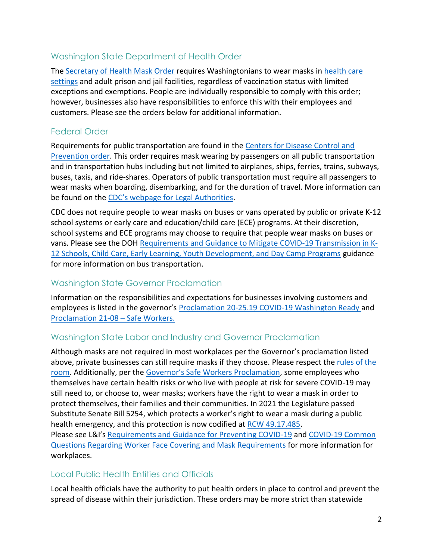### Washington State Department of Health Order

The [Secretary of Health Mask Order](https://www.doh.wa.gov/Portals/1/Documents/1600/coronavirus/Secretary_of_Health_Order_20-03_Statewide_Face_Coverings.pdf) requires Washingtonians to wear masks in [health care](#page-5-0)  [settings](#page-5-0) and adult prison and jail facilities, regardless of vaccination status with limited exceptions and exemptions. People are individually responsible to comply with this order; however, businesses also have responsibilities to enforce this with their employees and customers. Please see the orders below for additional information.

### Federal Order

Requirements for public transportation are found in the [Centers for Disease Control and](https://www.cdc.gov/quarantine/pdf/Mask-Order-CDC_GMTF_01-29-21-p.pdf)  [Prevention](https://www.cdc.gov/quarantine/pdf/Mask-Order-CDC_GMTF_01-29-21-p.pdf) order. This order requires mask wearing by passengers on all public transportation and in transportation hubs including but not limited to airplanes, ships, ferries, trains, subways, buses, taxis, and ride-shares. Operators of public transportation must require all passengers to wear masks when boarding, disembarking, and for the duration of travel. More information can be found on the [CDC's webpage for Legal Authorities](https://www.cdc.gov/quarantine/masks/mask-travel-guidance.html).

CDC does not require people to wear masks on buses or vans operated by public or private K-12 school systems or early care and education/child care (ECE) programs. At their discretion, school systems and ECE programs may choose to require that people wear masks on buses or vans. Please see the DOH [Requirements and Guidance to Mitigate COVID-19 Transmission in K-](https://doh.wa.gov/sites/default/files/2022-03/821-165-K12SchoolsChildCare.pdf)[12 Schools, Child Care, Early Learning, Youth Development, and Day Camp Programs](https://doh.wa.gov/sites/default/files/2022-03/821-165-K12SchoolsChildCare.pdf) guidance for more information on bus transportation.

### Washington State Governor Proclamation

Information on the responsibilities and expectations for businesses involving customers and employees is listed in the governor's [Proclamation 20-25.19 COVID-19 Washington Ready](https://www.governor.wa.gov/sites/default/files/proclamations/20-25.19%20-%20COVID-19%20Washington%20Ready%20%28tmp%29.pdf) and [Proclamation 21-08](https://www.governor.wa.gov/sites/default/files/proclamations/21-08.1%20-%20COVID-19%20Safe%20Workers%20%28tmp%29_0.pdf) – Safe Workers.

#### <span id="page-1-0"></span>Washington State Labor and Industry and Governor Proclamation

Although masks are not required in most workplaces per the Governor's proclamation listed above, private businesses can still require masks if they choose. Please respect the [rules of the](#page-6-0)  [room.](#page-6-0) Additionally, per the [Governor's Safe Workers Proclamation](https://www.governor.wa.gov/sites/default/files/proclamations/21-08.1%20-%20COVID-19%20Safe%20Workers%20%28tmp%29_0.pdf), some employees who themselves have certain health risks or who live with people at risk for severe COVID-19 may still need to, or choose to, wear masks; workers have the right to wear a mask in order to protect themselves, their families and their communities. In 2021 the Legislature passed Substitute Senate Bill 5254, which protects a worker's right to wear a mask during a public health emergency, and this protection is now codified a[t RCW 49.17.485.](https://app.leg.wa.gov/RCW/default.aspx?cite=49.17.485) Please see L&I's [Requirements and Guidance for Preventing COVID-19](https://www.lni.wa.gov/agency/outreach/coronavirus/requirements-and-guidance-for-preventing-covid-19) an[d COVID-19 Common](https://lni.wa.gov/agency/outreach/coronavirus-covid-19-worker-face-covering-and-mask-requirements-questions)  [Questions Regarding Worker Face Covering and Mask Requirements](https://lni.wa.gov/agency/outreach/coronavirus-covid-19-worker-face-covering-and-mask-requirements-questions) for more information for workplaces.

#### Local Public Health Entities and Officials

Local health officials have the authority to put health orders in place to control and prevent the spread of disease within their jurisdiction. These orders may be more strict than statewide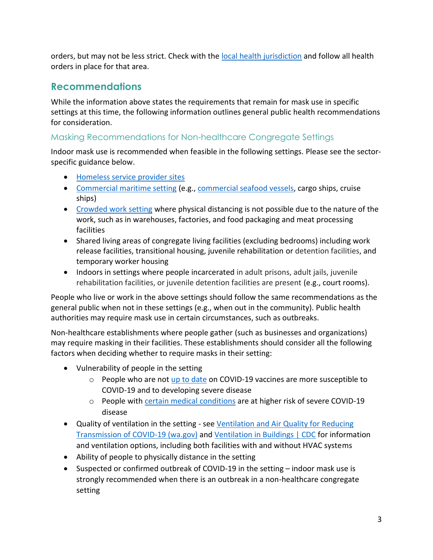orders, but may not be less strict. Check with the [local health jurisdiction](https://www.doh.wa.gov/AboutUs/PublicHealthSystem/LocalHealthJurisdictions) and follow all health orders in place for that area.

# **Recommendations**

While the information above states the requirements that remain for mask use in specific settings at this time, the following information outlines general public health recommendations for consideration.

### Masking Recommendations for Non-healthcare Congregate Settings

Indoor mask use is recommended when feasible in the following settings. Please see the sectorspecific guidance below.

- [Homeless service provider sites](https://doh.wa.gov/sites/default/files/legacy/Documents/1600/coronavirus/13-RecommendationsforHomelessShelters.pdf)
- [Commercial maritime setting](https://www.cdc.gov/quarantine/maritime/recommendations-for-ships.html) (e.g., [commercial seafood vessels,](https://doh.wa.gov/sites/default/files/legacy/Documents/1600/coronavirus/150-145-CommercialSeafoodIndustryWorkers.pdf) cargo ships, cruise ships)
- [Crowded work setting](https://doh.wa.gov/sites/default/files/legacy/Documents/1600/coronavirus/420-350-NonHealthCareBusiness.pdf) where physical distancing is not possible due to the nature of the work, such as in warehouses, factories, and food packaging and meat processing facilities
- Shared living areas of congregate living facilities (excluding bedrooms) including work release facilities, transitional housing, juvenile rehabilitation or detention facilities, and temporary worker housing
- Indoors in settings where people incarcerated in adult prisons, adult jails, juvenile rehabilitation facilities, or juvenile detention facilities are present (e.g., court rooms).

People who live or work in the above settings should follow the same recommendations as the general public when not in these settings (e.g., when out in the community). Public health authorities may require mask use in certain circumstances, such as outbreaks.

Non-healthcare establishments where people gather (such as businesses and organizations) may require masking in their facilities. These establishments should consider all the following factors when deciding whether to require masks in their setting:

- Vulnerability of people in the setting
	- $\circ$  People who are not [up to date](https://www.cdc.gov/coronavirus/2019-ncov/vaccines/stay-up-to-date.html) on COVID-19 vaccines are more susceptible to COVID-19 and to developing severe disease
	- o People with [certain medical conditions](https://www.cdc.gov/coronavirus/2019-ncov/need-extra-precautions/people-with-medical-conditions.html) are at higher risk of severe COVID-19 disease
- Quality of ventilation in the setting see Ventilation and Air Quality for Reducing [Transmission of COVID-19 \(wa.gov\)](https://doh.wa.gov/sites/default/files/legacy/Documents/1600/coronavirus/VentilationGuidance.pdf) and [Ventilation in Buildings | CDC](https://www.cdc.gov/coronavirus/2019-ncov/community/ventilation.html) for information and ventilation options, including both facilities with and without HVAC systems
- Ability of people to physically distance in the setting
- Suspected or confirmed outbreak of COVID-19 in the setting indoor mask use is strongly recommended when there is an outbreak in a non-healthcare congregate setting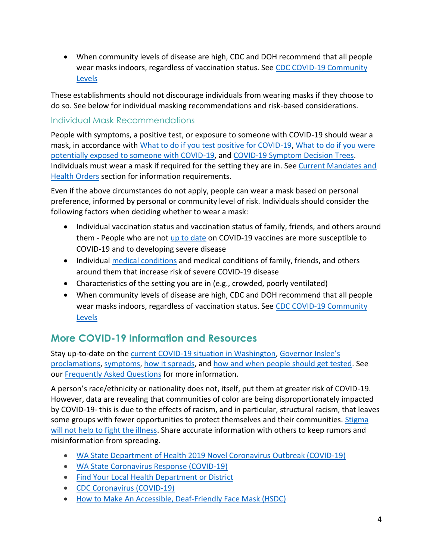• When community levels of disease are high, CDC and DOH recommend that all people wear masks indoors, regardless of vaccination status. See [CDC COVID-19 Community](https://www.cdc.gov/coronavirus/2019-ncov/science/community-levels.html)  [Levels](https://www.cdc.gov/coronavirus/2019-ncov/science/community-levels.html)

These establishments should not discourage individuals from wearing masks if they choose to do so. See below for individual masking recommendations and risk-based considerations.

#### Individual Mask Recommendations

People with symptoms, a positive test, or exposure to someone with COVID-19 should wear a mask, in accordance with [What to do if you test positive for COVID-19,](https://doh.wa.gov/sites/default/files/2022-02/COVIDcasepositive.pdf) [What to do if you were](https://doh.wa.gov/sites/default/files/2022-02/COVIDexposed.pdf)  [potentially exposed to someone with COVID-19,](https://doh.wa.gov/sites/default/files/2022-02/COVIDexposed.pdf) and [COVID-19 Symptom Decision Trees.](https://doh.wa.gov/sites/default/files/2022-02/820-234-SymptomDecisionTreeNonhealthCareandPublic.pdf) Individuals must wear a mask if required for the setting they are in. See [Current Mandates and](#page-0-0)  [Health Orders](#page-0-0) section for information requirements.

Even if the above circumstances do not apply, people can wear a mask based on personal preference, informed by personal or community level of risk. Individuals should consider the following factors when deciding whether to wear a mask:

- Individual vaccination status and vaccination status of family, friends, and others around them - People who are not [up to date](https://www.cdc.gov/coronavirus/2019-ncov/vaccines/stay-up-to-date.html) on COVID-19 vaccines are more susceptible to COVID-19 and to developing severe disease
- Individual [medical conditions](https://www.cdc.gov/coronavirus/2019-ncov/need-extra-precautions/people-with-medical-conditions.html) and medical conditions of family, friends, and others around them that increase risk of severe COVID-19 disease
- Characteristics of the setting you are in (e.g., crowded, poorly ventilated)
- When community levels of disease are high, CDC and DOH recommend that all people wear masks indoors, regardless of vaccination status. See CDC COVID-19 Community [Levels](https://www.cdc.gov/coronavirus/2019-ncov/science/community-levels.html)

# **More COVID-19 Information and Resources**

Stay up-to-date on the [current COVID-19 situation in Washington,](https://www.doh.wa.gov/Emergencies/Coronavirus) [Governor Inslee's](https://www.doh.wa.gov/Emergencies/COVID19/TestingforCOVID19)  [proclamations,](https://www.doh.wa.gov/Emergencies/COVID19/TestingforCOVID19) [symptoms,](https://www.governor.wa.gov/sites/default/files/proclamations/proc_21-08.pdf#what-are-symptoms) [how it spreads,](https://www.doh.wa.gov/Emergencies/NovelCoronavirusOutbreak2020/FrequentlyAskedQuestions#spread) and [how and when people should get tested.](https://www.cdc.gov/coronavirus/2019-ncov/prevent-getting-sick/prevention.html) See our [Frequently Asked Questions](https://doh.wa.gov/emergencies/covid-19/frequently-asked-questions) for more information.

A person's race/ethnicity or nationality does not, itself, put them at greater risk of COVID-19. However, data are revealing that communities of color are being disproportionately impacted by COVID-19- this is due to the effects of racism, and in particular, structural racism, that leaves some groups with fewer opportunities to protect themselves and their communities. Stigma [will not help to fight the illness.](https://medium.com/wadepthealth/it-takes-all-of-us-to-reduce-stigma-during-disease-outbreaks-310db60dce29) Share accurate information with others to keep rumors and misinformation from spreading.

- [WA State Department of Health 2019 Novel Coronavirus Outbreak \(COVID-19\)](https://www.doh.wa.gov/Emergencies/NovelCoronavirusOutbreak2020/StigmaReduction)
- [WA State Coronavirus Response \(COVID-19\)](https://coronavirus.wa.gov/)
- Find Your [Local Health Department or District](https://doh.wa.gov/about-us/washingtons-public-health-system/washington-state-local-health-jurisdictions)
- [CDC Coronavirus \(COVID-19\)](https://www.cdc.gov/coronavirus/2019-ncov/index.html)
- [How to Make An Accessible, Deaf-Friendly Face Mask \(HSDC\)](https://www.governor.wa.gov/office-governor/official-actions/proclamations)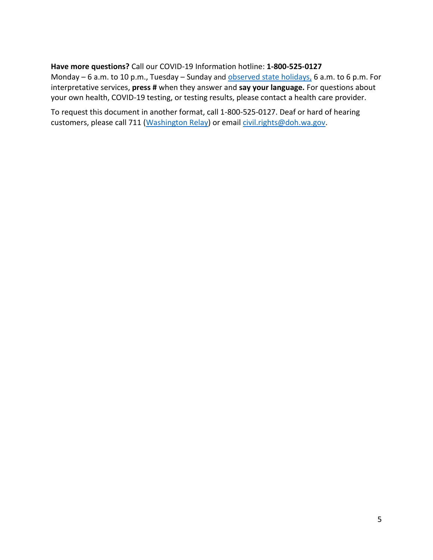**Have more questions?** Call our COVID-19 Information hotline: **1-800-525-0127**  Monday – 6 a.m. to 10 p.m., Tuesday – Sunday and [observed state holidays,](https://www.cdc.gov/coronavirus/2019-ncov/symptoms-testing/symptoms.html) 6 a.m. to 6 p.m. For interpretative services, **press #** when they answer and **say your language.** For questions about your own health, COVID-19 testing, or testing results, please contact a health care provider.

To request this document in another format, call 1-800-525-0127. Deaf or hard of hearing customers, please call 711 (Washington Relay) or email [civil.rights@doh.wa.gov.](mailto:civil.rights@doh.wa.gov)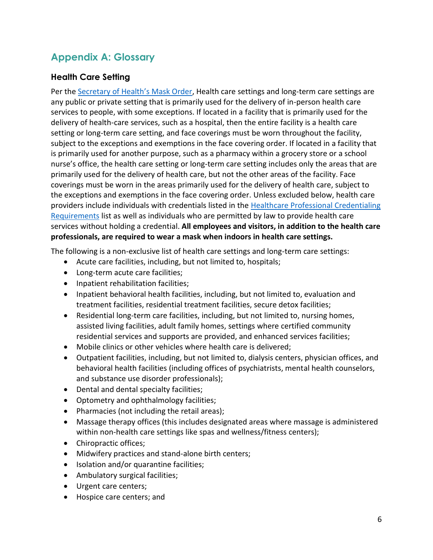# **Appendix A: Glossary**

### <span id="page-5-0"></span>**Health Care Setting**

Per the [Secretary of Health's Mask Order](https://www.doh.wa.gov/Portals/1/Documents/1600/coronavirus/Secretary_of_Health_Order_20-03_Statewide_Face_Coverings.pdf), Health care settings and long-term care settings are any public or private setting that is primarily used for the delivery of in-person health care services to people, with some exceptions. If located in a facility that is primarily used for the delivery of health-care services, such as a hospital, then the entire facility is a health care setting or long-term care setting, and face coverings must be worn throughout the facility, subject to the exceptions and exemptions in the face covering order. If located in a facility that is primarily used for another purpose, such as a pharmacy within a grocery store or a school nurse's office, the health care setting or long-term care setting includes only the areas that are primarily used for the delivery of health care, but not the other areas of the facility. Face coverings must be worn in the areas primarily used for the delivery of health care, subject to the exceptions and exemptions in the face covering order. Unless excluded below, health care providers include individuals with credentials listed in the Healthcare Professional Credentialing [Requirements](https://gcc02.safelinks.protection.outlook.com/?url=https%3A%2F%2Fwww.doh.wa.gov%2FLicensesPermitsandCertificates%2FProfessionsNewReneworUpdate%2FHealthcareProfessionalCredentialingRequirements&data=04%7C01%7Ceric.sonju%40atg.wa.gov%7C48f3eb7333804a20fc1e08d947ec0aa5%7C2cc5baaf3b9742c9bcb8392cad34af3f%7C0%7C1%7C637619901397940872%7CUnknown%7CTWFpbGZsb3d8eyJWIjoiMC4wLjAwMDAiLCJQIjoiV2luMzIiLCJBTiI6Ik1haWwiLCJXVCI6Mn0%3D%7C1000&sdata=XYAtOfny4dg8vNMoi4AsGQgPwwN%2FBKywbkfZT7kGtEo%3D&reserved=0) list as well as individuals who are permitted by law to provide health care services without holding a credential. **All employees and visitors, in addition to the health care professionals, are required to wear a mask when indoors in health care settings.**

The following is a non-exclusive list of health care settings and long-term care settings:

- Acute care facilities, including, but not limited to, hospitals;
- Long-term acute care facilities;
- Inpatient rehabilitation facilities;
- Inpatient behavioral health facilities, including, but not limited to, evaluation and treatment facilities, residential treatment facilities, secure detox facilities;
- Residential long-term care facilities, including, but not limited to, nursing homes, assisted living facilities, adult family homes, settings where certified community residential services and supports are provided, and enhanced services facilities;
- Mobile clinics or other vehicles where health care is delivered;
- Outpatient facilities, including, but not limited to, dialysis centers, physician offices, and behavioral health facilities (including offices of psychiatrists, mental health counselors, and substance use disorder professionals);
- Dental and dental specialty facilities;
- Optometry and ophthalmology facilities;
- Pharmacies (not including the retail areas);
- Massage therapy offices (this includes designated areas where massage is administered within non-health care settings like spas and wellness/fitness centers);
- Chiropractic offices;
- Midwifery practices and stand-alone birth centers;
- Isolation and/or quarantine facilities;
- Ambulatory surgical facilities;
- Urgent care centers;
- Hospice care centers; and